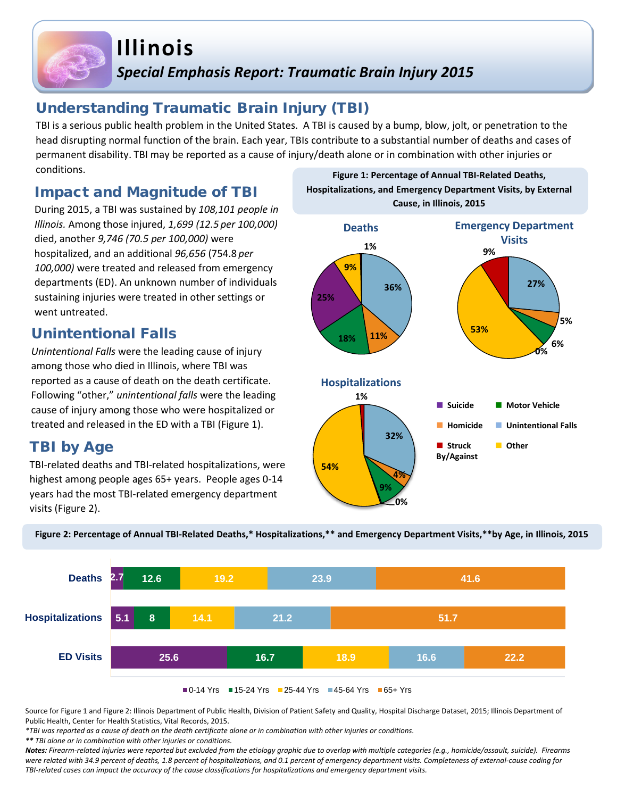# **Illinois** *Special Emphasis Report: Traumatic Brain Injury 2015*

### Understanding Traumatic Brain Injury (TBI)

TBI is a serious public health problem in the United States. A TBI is caused by a bump, blow, jolt, or penetration to the head disrupting normal function of the brain. Each year, TBIs contribute to a substantial number of deaths and cases of permanent disability. TBI may be reported as a cause of injury/death alone or in combination with other injuries or conditions. **Figure 1: Percentage of Annual TBI-Related Deaths,** 

### Impact and Magnitude of TBI

During 2015, a TBI was sustained by *108,101 people in Illinois.* Among those injured, *1,699 (12.5 per 100,000)*  died, another *9,746 (70.5 per 100,000)* were hospitalized, and an additional *96,656* (754.8 *per 100,000)* were treated and released from emergency departments (ED). An unknown number of individuals sustaining injuries were treated in other settings or went untreated.

### Unintentional Falls

*Unintentional Falls* were the leading cause of injury among those who died in Illinois, where TBI was reported as a cause of death on the death certificate. Following "other," *unintentional falls* were the leading treated and released in the ED with a TBI (Figure 1).

### TBI by Age

TBI-related deaths and TBI-related hospitalizations, were highest among people ages 65+ years. People ages 0-14 years had the most TBI-related emergency department visits (Figure 2).



**Hospitalizations, and Emergency Department Visits, by External** 



**Figure 2: Percentage of Annual TBI-Related Deaths,\* Hospitalizations,\*\* and Emergency Department Visits,\*\*by Age, in Illinois, 2015**

Source for Figure 1 and Figure 2: Illinois Department of Public Health, Division of Patient Safety and Quality, Hospital Discharge Dataset, 2015; Illinois Department of Public Health, Center for Health Statistics, Vital Records, 2015.

*\*TBI was reported as a cause of death on the death certificate alone or in combination with other injuries or conditions.*

*\*\* TBI alone or in combination with other injuries or conditions.*

*Notes: Firearm-related injuries were reported but excluded from the etiology graphic due to overlap with multiple categories (e.g., homicide/assault, suicide). Firearms were related with 34.9 percent of deaths, 1.8 percent of hospitalizations, and 0.1 percent of emergency department visits. Completeness of external-cause coding for TBI-related cases can impact the accuracy of the cause classifications for hospitalizations and emergency department visits.*